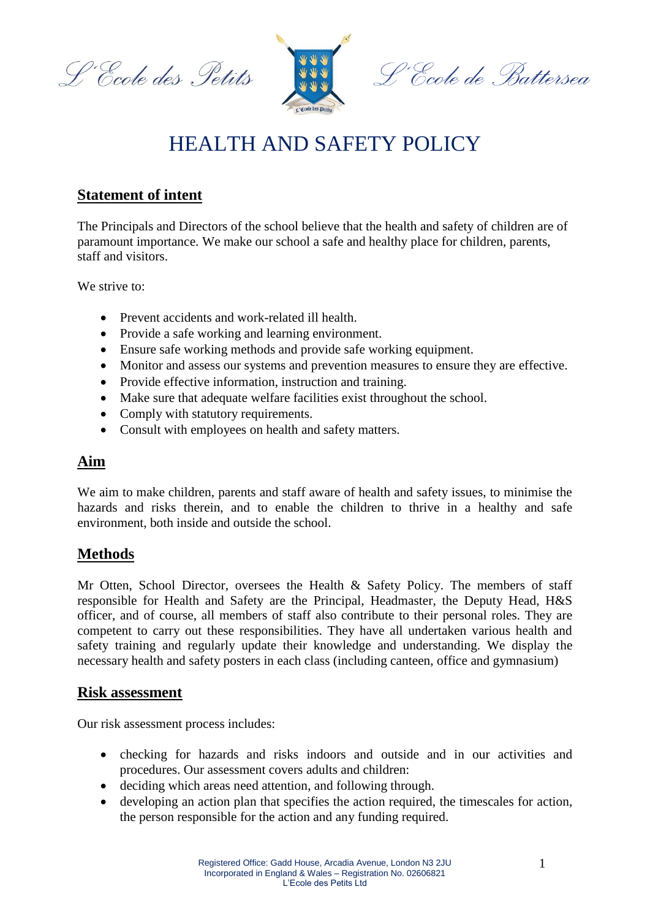L'Ecole des Petits



# HEALTH AND SAFETY POLICY

# **Statement of intent**

The Principals and Directors of the school believe that the health and safety of children are of paramount importance. We make our school a safe and healthy place for children, parents, staff and visitors.

We strive to:

- Prevent accidents and work-related ill health.
- Provide a safe working and learning environment.
- Ensure safe working methods and provide safe working equipment.
- Monitor and assess our systems and prevention measures to ensure they are effective.
- Provide effective information, instruction and training.
- Make sure that adequate welfare facilities exist throughout the school.
- Comply with statutory requirements.
- Consult with employees on health and safety matters.

# **Aim**

We aim to make children, parents and staff aware of health and safety issues, to minimise the hazards and risks therein, and to enable the children to thrive in a healthy and safe environment, both inside and outside the school.

# **Methods**

Mr Otten, School Director, oversees the Health & Safety Policy. The members of staff responsible for Health and Safety are the Principal, Headmaster, the Deputy Head, H&S officer, and of course, all members of staff also contribute to their personal roles. They are competent to carry out these responsibilities. They have all undertaken various health and safety training and regularly update their knowledge and understanding. We display the necessary health and safety posters in each class (including canteen, office and gymnasium)

#### **Risk assessment**

Our risk assessment process includes:

- checking for hazards and risks indoors and outside and in our activities and procedures. Our assessment covers adults and children:
- deciding which areas need attention, and following through.
- developing an action plan that specifies the action required, the timescales for action, the person responsible for the action and any funding required.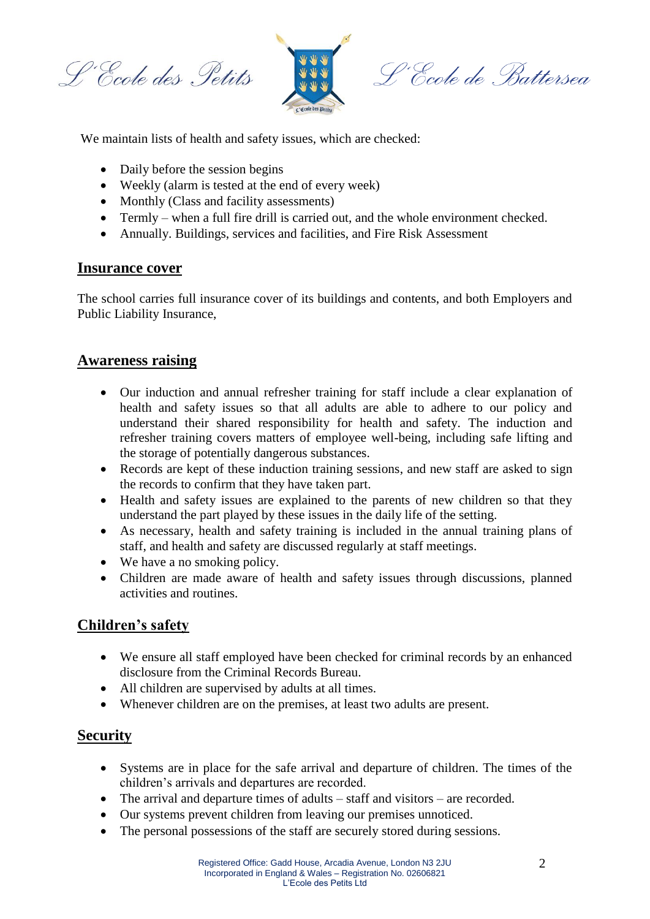L'Ecole des Petits



L'École de Battersea

We maintain lists of health and safety issues, which are checked:

- Daily before the session begins
- Weekly (alarm is tested at the end of every week)
- Monthly (Class and facility assessments)
- Termly when a full fire drill is carried out, and the whole environment checked.
- Annually. Buildings, services and facilities, and Fire Risk Assessment

#### **Insurance cover**

The school carries full insurance cover of its buildings and contents, and both Employers and Public Liability Insurance,

### **Awareness raising**

- Our induction and annual refresher training for staff include a clear explanation of health and safety issues so that all adults are able to adhere to our policy and understand their shared responsibility for health and safety. The induction and refresher training covers matters of employee well-being, including safe lifting and the storage of potentially dangerous substances.
- Records are kept of these induction training sessions, and new staff are asked to sign the records to confirm that they have taken part.
- Health and safety issues are explained to the parents of new children so that they understand the part played by these issues in the daily life of the setting.
- As necessary, health and safety training is included in the annual training plans of staff, and health and safety are discussed regularly at staff meetings.
- We have a no smoking policy.
- Children are made aware of health and safety issues through discussions, planned activities and routines.

# **Children's safety**

- We ensure all staff employed have been checked for criminal records by an enhanced disclosure from the Criminal Records Bureau.
- All children are supervised by adults at all times.
- Whenever children are on the premises, at least two adults are present.

# **Security**

- Systems are in place for the safe arrival and departure of children. The times of the children's arrivals and departures are recorded.
- The arrival and departure times of adults staff and visitors are recorded.
- Our systems prevent children from leaving our premises unnoticed.
- The personal possessions of the staff are securely stored during sessions.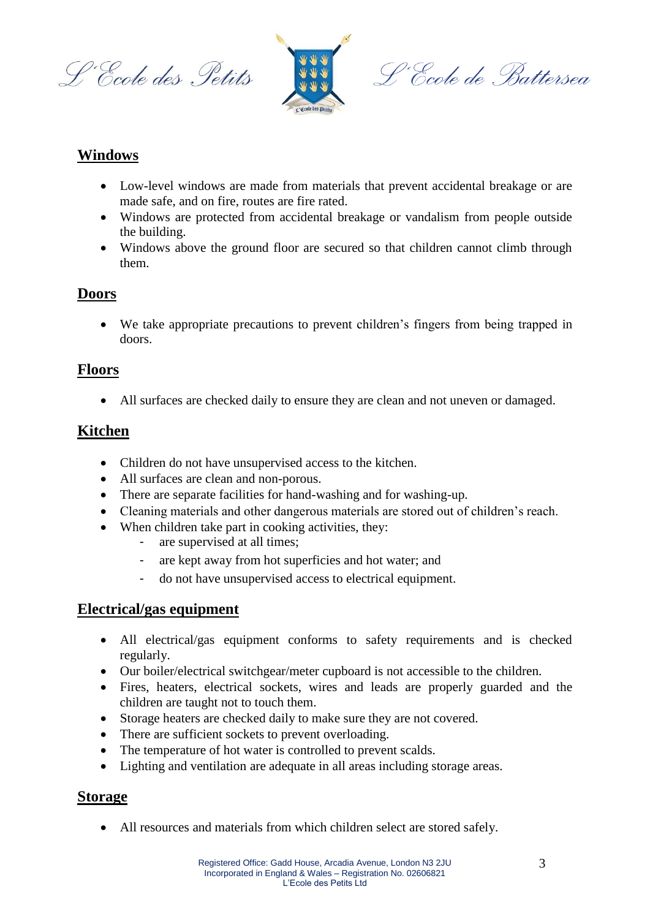L'Ecole des Petits



L'École de Battersea

# **Windows**

- Low-level windows are made from materials that prevent accidental breakage or are made safe, and on fire, routes are fire rated.
- Windows are protected from accidental breakage or vandalism from people outside the building.
- Windows above the ground floor are secured so that children cannot climb through them.

# **Doors**

 We take appropriate precautions to prevent children's fingers from being trapped in doors.

## **Floors**

All surfaces are checked daily to ensure they are clean and not uneven or damaged.

# **Kitchen**

- Children do not have unsupervised access to the kitchen.
- All surfaces are clean and non-porous.
- There are separate facilities for hand-washing and for washing-up.
- Cleaning materials and other dangerous materials are stored out of children's reach.
- When children take part in cooking activities, they:
	- are supervised at all times;
	- are kept away from hot superficies and hot water; and
	- do not have unsupervised access to electrical equipment.

### **Electrical/gas equipment**

- All electrical/gas equipment conforms to safety requirements and is checked regularly.
- Our boiler/electrical switchgear/meter cupboard is not accessible to the children.
- Fires, heaters, electrical sockets, wires and leads are properly guarded and the children are taught not to touch them.
- Storage heaters are checked daily to make sure they are not covered.
- There are sufficient sockets to prevent overloading.
- The temperature of hot water is controlled to prevent scalds.
- Lighting and ventilation are adequate in all areas including storage areas.

# **Storage**

All resources and materials from which children select are stored safely.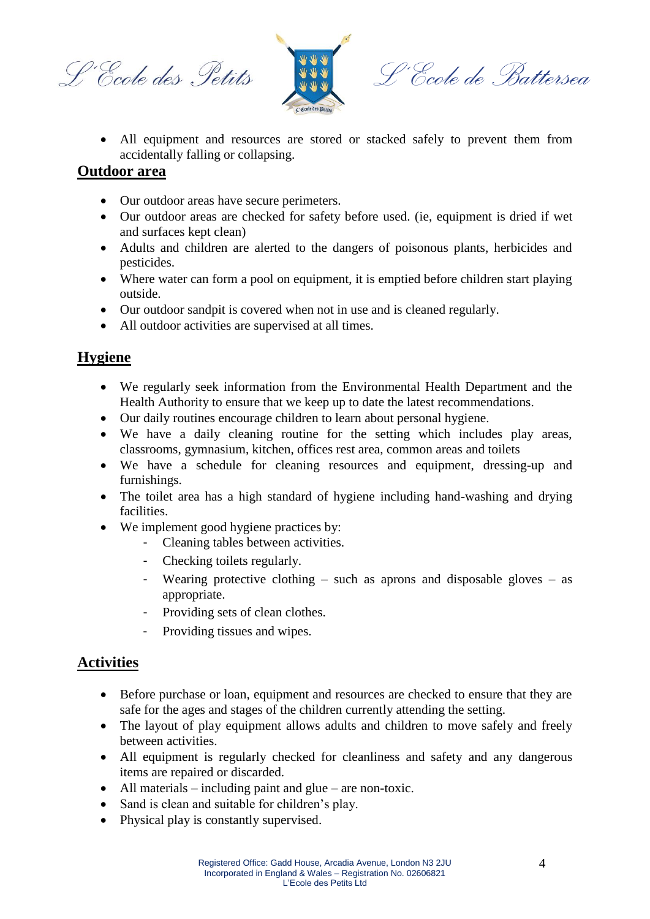L'Ecole des Petits



L'Ecole de Battersea

 All equipment and resources are stored or stacked safely to prevent them from accidentally falling or collapsing.

#### **Outdoor area**

- Our outdoor areas have secure perimeters.
- Our outdoor areas are checked for safety before used. (ie, equipment is dried if wet and surfaces kept clean)
- Adults and children are alerted to the dangers of poisonous plants, herbicides and pesticides.
- Where water can form a pool on equipment, it is emptied before children start playing outside.
- Our outdoor sandpit is covered when not in use and is cleaned regularly.
- All outdoor activities are supervised at all times.

# **Hygiene**

- We regularly seek information from the Environmental Health Department and the Health Authority to ensure that we keep up to date the latest recommendations.
- Our daily routines encourage children to learn about personal hygiene.
- We have a daily cleaning routine for the setting which includes play areas, classrooms, gymnasium, kitchen, offices rest area, common areas and toilets
- We have a schedule for cleaning resources and equipment, dressing-up and furnishings.
- The toilet area has a high standard of hygiene including hand-washing and drying facilities.
- We implement good hygiene practices by:
	- Cleaning tables between activities.
	- Checking toilets regularly.
	- Wearing protective clothing such as aprons and disposable gloves as appropriate.
	- Providing sets of clean clothes.
	- Providing tissues and wipes.

# **Activities**

- Before purchase or loan, equipment and resources are checked to ensure that they are safe for the ages and stages of the children currently attending the setting.
- The layout of play equipment allows adults and children to move safely and freely between activities.
- All equipment is regularly checked for cleanliness and safety and any dangerous items are repaired or discarded.
- All materials including paint and glue are non-toxic.
- Sand is clean and suitable for children's play.
- Physical play is constantly supervised.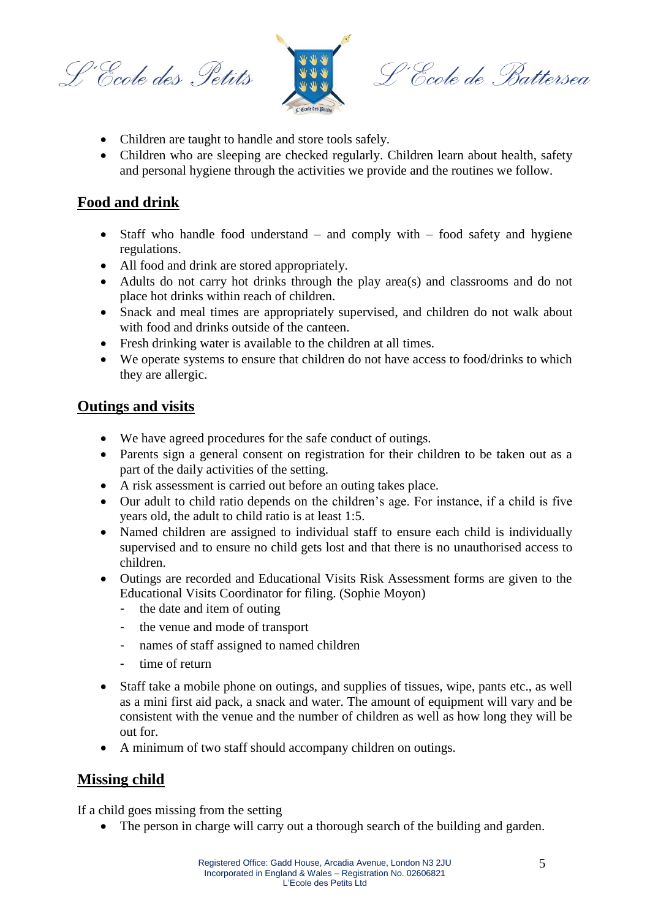L'Ecole des Petits



L'École de Battersea

- Children are taught to handle and store tools safely.
- Children who are sleeping are checked regularly. Children learn about health, safety and personal hygiene through the activities we provide and the routines we follow.

## **Food and drink**

- Staff who handle food understand and comply with food safety and hygiene regulations.
- All food and drink are stored appropriately.
- Adults do not carry hot drinks through the play area(s) and classrooms and do not place hot drinks within reach of children.
- Snack and meal times are appropriately supervised, and children do not walk about with food and drinks outside of the canteen.
- Fresh drinking water is available to the children at all times.
- We operate systems to ensure that children do not have access to food/drinks to which they are allergic.

#### **Outings and visits**

- We have agreed procedures for the safe conduct of outings.
- Parents sign a general consent on registration for their children to be taken out as a part of the daily activities of the setting.
- A risk assessment is carried out before an outing takes place.
- Our adult to child ratio depends on the children's age. For instance, if a child is five years old, the adult to child ratio is at least 1:5.
- Named children are assigned to individual staff to ensure each child is individually supervised and to ensure no child gets lost and that there is no unauthorised access to children.
- Outings are recorded and Educational Visits Risk Assessment forms are given to the Educational Visits Coordinator for filing. (Sophie Moyon)
	- the date and item of outing
	- the venue and mode of transport
	- names of staff assigned to named children
	- time of return
- Staff take a mobile phone on outings, and supplies of tissues, wipe, pants etc., as well as a mini first aid pack, a snack and water. The amount of equipment will vary and be consistent with the venue and the number of children as well as how long they will be out for.
- A minimum of two staff should accompany children on outings.

### **Missing child**

If a child goes missing from the setting

• The person in charge will carry out a thorough search of the building and garden.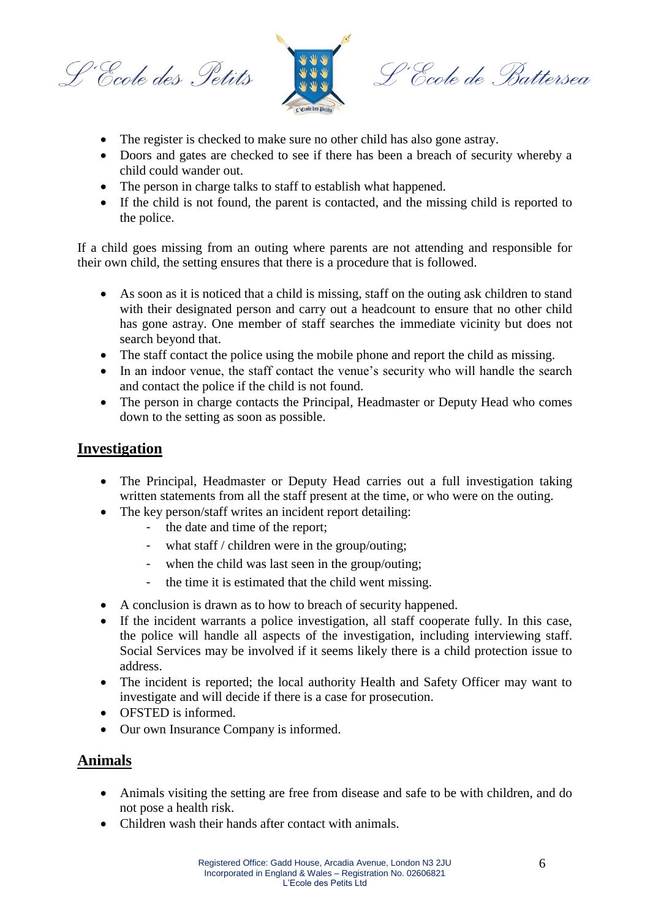L'Ecole des Petits



L'École de Battersea

- The register is checked to make sure no other child has also gone astray.
- Doors and gates are checked to see if there has been a breach of security whereby a child could wander out.
- The person in charge talks to staff to establish what happened.
- If the child is not found, the parent is contacted, and the missing child is reported to the police.

If a child goes missing from an outing where parents are not attending and responsible for their own child, the setting ensures that there is a procedure that is followed.

- As soon as it is noticed that a child is missing, staff on the outing ask children to stand with their designated person and carry out a headcount to ensure that no other child has gone astray. One member of staff searches the immediate vicinity but does not search beyond that.
- The staff contact the police using the mobile phone and report the child as missing.
- In an indoor venue, the staff contact the venue's security who will handle the search and contact the police if the child is not found.
- The person in charge contacts the Principal, Headmaster or Deputy Head who comes down to the setting as soon as possible.

### **Investigation**

- The Principal, Headmaster or Deputy Head carries out a full investigation taking written statements from all the staff present at the time, or who were on the outing.
- The key person/staff writes an incident report detailing:
	- the date and time of the report:
	- what staff / children were in the group/outing;
	- when the child was last seen in the group/outing;
	- the time it is estimated that the child went missing.
- A conclusion is drawn as to how to breach of security happened.
- If the incident warrants a police investigation, all staff cooperate fully. In this case, the police will handle all aspects of the investigation, including interviewing staff. Social Services may be involved if it seems likely there is a child protection issue to address.
- The incident is reported; the local authority Health and Safety Officer may want to investigate and will decide if there is a case for prosecution.
- OFSTED is informed.
- Our own Insurance Company is informed.

### **Animals**

- Animals visiting the setting are free from disease and safe to be with children, and do not pose a health risk.
- Children wash their hands after contact with animals.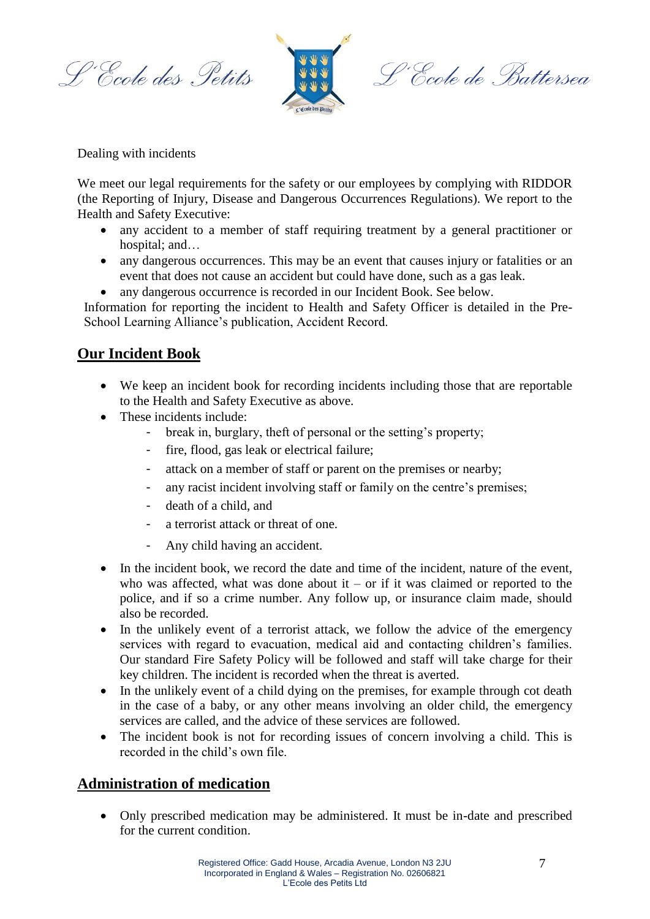L'Ecole des Petits



L'Ecole de Battersea

Dealing with incidents

We meet our legal requirements for the safety or our employees by complying with RIDDOR (the Reporting of Injury, Disease and Dangerous Occurrences Regulations). We report to the Health and Safety Executive:

- any accident to a member of staff requiring treatment by a general practitioner or hospital; and…
- any dangerous occurrences. This may be an event that causes injury or fatalities or an event that does not cause an accident but could have done, such as a gas leak.
- any dangerous occurrence is recorded in our Incident Book. See below.

Information for reporting the incident to Health and Safety Officer is detailed in the Pre-School Learning Alliance's publication, Accident Record.

## **Our Incident Book**

- We keep an incident book for recording incidents including those that are reportable to the Health and Safety Executive as above.
- These incidents include:
	- break in, burglary, theft of personal or the setting's property;
	- fire, flood, gas leak or electrical failure;
	- attack on a member of staff or parent on the premises or nearby;
	- any racist incident involving staff or family on the centre's premises;
	- death of a child, and
	- a terrorist attack or threat of one.
	- Any child having an accident.
- In the incident book, we record the date and time of the incident, nature of the event, who was affected, what was done about it – or if it was claimed or reported to the police, and if so a crime number. Any follow up, or insurance claim made, should also be recorded.
- In the unlikely event of a terrorist attack, we follow the advice of the emergency services with regard to evacuation, medical aid and contacting children's families. Our standard Fire Safety Policy will be followed and staff will take charge for their key children. The incident is recorded when the threat is averted.
- In the unlikely event of a child dying on the premises, for example through cot death in the case of a baby, or any other means involving an older child, the emergency services are called, and the advice of these services are followed.
- The incident book is not for recording issues of concern involving a child. This is recorded in the child's own file.

### **Administration of medication**

 Only prescribed medication may be administered. It must be in-date and prescribed for the current condition.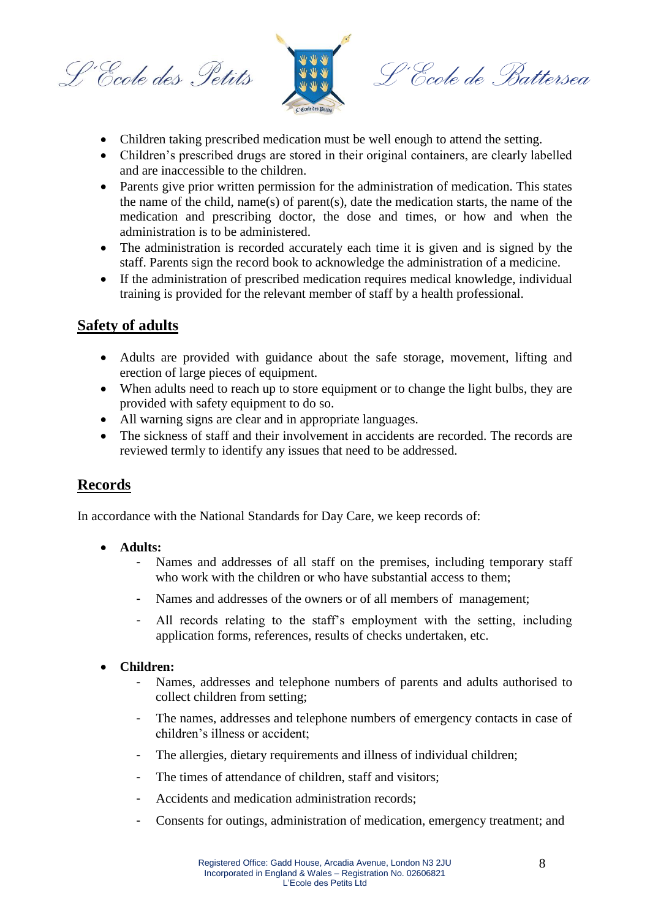L'Ecole des Petits



L'École de Battersea

- Children taking prescribed medication must be well enough to attend the setting.
- Children's prescribed drugs are stored in their original containers, are clearly labelled and are inaccessible to the children.
- Parents give prior written permission for the administration of medication. This states the name of the child, name(s) of parent(s), date the medication starts, the name of the medication and prescribing doctor, the dose and times, or how and when the administration is to be administered.
- The administration is recorded accurately each time it is given and is signed by the staff. Parents sign the record book to acknowledge the administration of a medicine.
- If the administration of prescribed medication requires medical knowledge, individual training is provided for the relevant member of staff by a health professional.

# **Safety of adults**

- Adults are provided with guidance about the safe storage, movement, lifting and erection of large pieces of equipment.
- When adults need to reach up to store equipment or to change the light bulbs, they are provided with safety equipment to do so.
- All warning signs are clear and in appropriate languages.
- The sickness of staff and their involvement in accidents are recorded. The records are reviewed termly to identify any issues that need to be addressed.

### **Records**

In accordance with the National Standards for Day Care, we keep records of:

- **Adults:**
	- Names and addresses of all staff on the premises, including temporary staff who work with the children or who have substantial access to them;
	- Names and addresses of the owners or of all members of management;
	- All records relating to the staff's employment with the setting, including application forms, references, results of checks undertaken, etc.

#### **Children:**

- Names, addresses and telephone numbers of parents and adults authorised to collect children from setting;
- The names, addresses and telephone numbers of emergency contacts in case of children's illness or accident;
- The allergies, dietary requirements and illness of individual children;
- The times of attendance of children, staff and visitors;
- Accidents and medication administration records;
- Consents for outings, administration of medication, emergency treatment; and